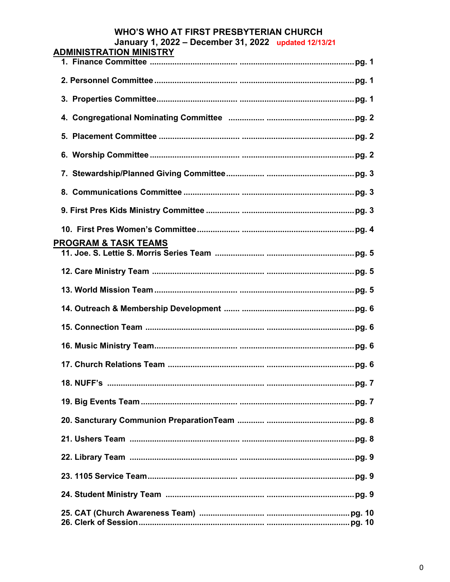## **WHO'S WHO AT FIRST PRESBYTERIAN CHURCH** January 1, 2022 - December 31, 2022 updated 12/13/21

| <b>ADMINISTRATION MINISTRY</b>  |
|---------------------------------|
|                                 |
|                                 |
|                                 |
|                                 |
|                                 |
|                                 |
|                                 |
|                                 |
|                                 |
|                                 |
| <b>PROGRAM &amp; TASK TEAMS</b> |
|                                 |
|                                 |
|                                 |
|                                 |
|                                 |
|                                 |
|                                 |
|                                 |
|                                 |
|                                 |
|                                 |
|                                 |
|                                 |
|                                 |
|                                 |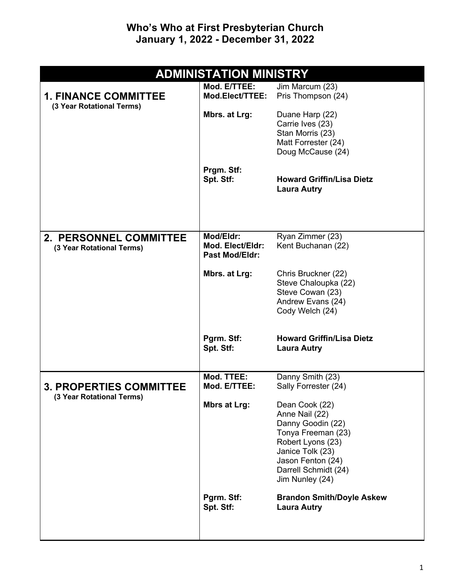## **Who's Who at First Presbyterian Church January 1, 2022 - December 31, 2022**

| <b>ADMINISTATION MINISTRY</b>                               |                                                        |                                                                                                                                                                                      |
|-------------------------------------------------------------|--------------------------------------------------------|--------------------------------------------------------------------------------------------------------------------------------------------------------------------------------------|
| <b>1. FINANCE COMMITTEE</b><br>(3 Year Rotational Terms)    | Mod. E/TTEE:<br>Mod.Elect/TTEE:                        | Jim Marcum (23)<br>Pris Thompson (24)                                                                                                                                                |
|                                                             | Mbrs. at Lrg:                                          | Duane Harp (22)<br>Carrie Ives (23)<br>Stan Morris (23)<br>Matt Forrester (24)<br>Doug McCause (24)                                                                                  |
|                                                             | Prgm. Stf:<br>Spt. Stf:                                | <b>Howard Griffin/Lisa Dietz</b><br><b>Laura Autry</b>                                                                                                                               |
| <b>2. PERSONNEL COMMITTEE</b><br>(3 Year Rotational Terms)  | Mod/Eldr:<br>Mod. Elect/Eldr:<br><b>Past Mod/Eldr:</b> | Ryan Zimmer (23)<br>Kent Buchanan (22)                                                                                                                                               |
|                                                             | Mbrs. at Lrg:                                          | Chris Bruckner (22)<br>Steve Chaloupka (22)<br>Steve Cowan (23)<br>Andrew Evans (24)<br>Cody Welch (24)                                                                              |
|                                                             | Pgrm. Stf:<br>Spt. Stf:                                | <b>Howard Griffin/Lisa Dietz</b><br><b>Laura Autry</b>                                                                                                                               |
| <b>3. PROPERTIES COMMITTEE</b><br>(3 Year Rotational Terms) | Mod. TTEE:<br>Mod. E/TTEE:                             | Danny Smith (23)<br>Sally Forrester (24)                                                                                                                                             |
|                                                             | <b>Mbrs at Lrg:</b>                                    | Dean Cook (22)<br>Anne Nail (22)<br>Danny Goodin (22)<br>Tonya Freeman (23)<br>Robert Lyons (23)<br>Janice Tolk (23)<br>Jason Fenton (24)<br>Darrell Schmidt (24)<br>Jim Nunley (24) |
|                                                             | Pgrm. Stf:<br>Spt. Stf:                                | <b>Brandon Smith/Doyle Askew</b><br><b>Laura Autry</b>                                                                                                                               |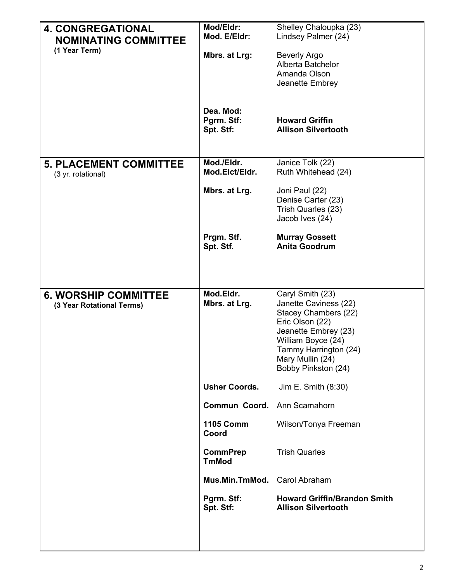| <b>4. CONGREGATIONAL</b><br><b>NOMINATING COMMITTEE</b>  | Mod/Eldr:<br>Mod. E/Eldr:            | Shelley Chaloupka (23)<br>Lindsey Palmer (24)                                                                                                                                                          |
|----------------------------------------------------------|--------------------------------------|--------------------------------------------------------------------------------------------------------------------------------------------------------------------------------------------------------|
| (1 Year Term)                                            | Mbrs. at Lrg:                        | <b>Beverly Argo</b><br>Alberta Batchelor<br>Amanda Olson<br>Jeanette Embrey                                                                                                                            |
|                                                          | Dea. Mod:<br>Pgrm. Stf:<br>Spt. Stf: | <b>Howard Griffin</b><br><b>Allison Silvertooth</b>                                                                                                                                                    |
| <b>5. PLACEMENT COMMITTEE</b><br>(3 yr. rotational)      | Mod./Eldr.<br>Mod.Elct/Eldr.         | Janice Tolk (22)<br>Ruth Whitehead (24)                                                                                                                                                                |
|                                                          | Mbrs. at Lrg.                        | Joni Paul (22)<br>Denise Carter (23)<br>Trish Quarles (23)<br>Jacob Ives (24)                                                                                                                          |
|                                                          | Prgm. Stf.<br>Spt. Stf.              | <b>Murray Gossett</b><br><b>Anita Goodrum</b>                                                                                                                                                          |
|                                                          |                                      |                                                                                                                                                                                                        |
| <b>6. WORSHIP COMMITTEE</b><br>(3 Year Rotational Terms) | Mod.Eldr.<br>Mbrs. at Lrg.           | Caryl Smith (23)<br>Janette Caviness (22)<br>Stacey Chambers (22)<br>Eric Olson (22)<br>Jeanette Embrey (23)<br>William Boyce (24)<br>Tammy Harrington (24)<br>Mary Mullin (24)<br>Bobby Pinkston (24) |
|                                                          | <b>Usher Coords.</b>                 | Jim E. Smith (8:30)                                                                                                                                                                                    |
|                                                          | <b>Commun Coord.</b>                 | Ann Scamahorn                                                                                                                                                                                          |
|                                                          | <b>1105 Comm</b><br>Coord            | Wilson/Tonya Freeman                                                                                                                                                                                   |
|                                                          | <b>CommPrep</b><br><b>TmMod</b>      | <b>Trish Quarles</b>                                                                                                                                                                                   |
|                                                          | Mus.Min.TmMod. Carol Abraham         |                                                                                                                                                                                                        |
|                                                          | Pgrm. Stf:<br>Spt. Stf:              | <b>Howard Griffin/Brandon Smith</b><br><b>Allison Silvertooth</b>                                                                                                                                      |
|                                                          |                                      |                                                                                                                                                                                                        |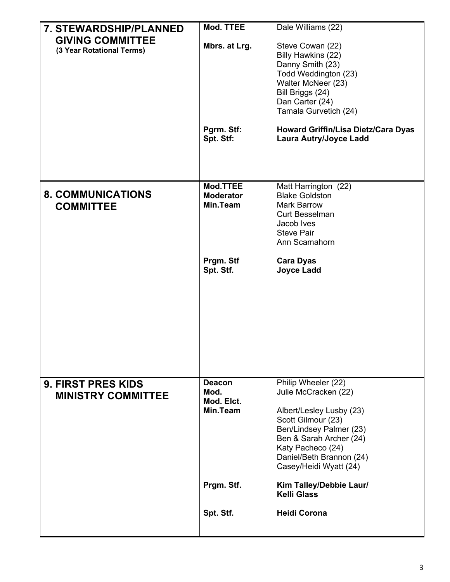| <b>7. STEWARDSHIP/PLANNED</b> | Mod. TTEE                    | Dale Williams (22)                                                          |
|-------------------------------|------------------------------|-----------------------------------------------------------------------------|
| <b>GIVING COMMITTEE</b>       | Mbrs. at Lrg.                | Steve Cowan (22)                                                            |
| (3 Year Rotational Terms)     |                              | Billy Hawkins (22)                                                          |
|                               |                              | Danny Smith (23)                                                            |
|                               |                              | Todd Weddington (23)<br>Walter McNeer (23)                                  |
|                               |                              | Bill Briggs (24)                                                            |
|                               |                              | Dan Carter (24)                                                             |
|                               |                              | Tamala Gurvetich (24)                                                       |
|                               | Pgrm. Stf:<br>Spt. Stf:      | <b>Howard Griffin/Lisa Dietz/Cara Dyas</b><br><b>Laura Autry/Joyce Ladd</b> |
|                               |                              |                                                                             |
| <b>8. COMMUNICATIONS</b>      | Mod.TTEE                     | Matt Harrington (22)                                                        |
| <b>COMMITTEE</b>              | <b>Moderator</b><br>Min.Team | <b>Blake Goldston</b><br>Mark Barrow                                        |
|                               |                              | <b>Curt Besselman</b>                                                       |
|                               |                              | Jacob Ives                                                                  |
|                               |                              | <b>Steve Pair</b><br>Ann Scamahorn                                          |
|                               |                              |                                                                             |
|                               | Prgm. Stf<br>Spt. Stf.       | <b>Cara Dyas</b><br><b>Joyce Ladd</b>                                       |
|                               |                              |                                                                             |
| <b>9. FIRST PRES KIDS</b>     | <b>Deacon</b>                | Philip Wheeler (22)                                                         |
| <b>MINISTRY COMMITTEE</b>     | Mod.                         | Julie McCracken (22)                                                        |
|                               | Mod. Elct.<br>Min.Team       |                                                                             |
|                               |                              | Albert/Lesley Lusby (23)<br>Scott Gilmour (23)                              |
|                               |                              | Ben/Lindsey Palmer (23)                                                     |
|                               |                              | Ben & Sarah Archer (24)                                                     |
|                               |                              | Katy Pacheco (24)<br>Daniel/Beth Brannon (24)                               |
|                               |                              | Casey/Heidi Wyatt (24)                                                      |
|                               | Prgm. Stf.                   | Kim Talley/Debbie Laur/<br><b>Kelli Glass</b>                               |
|                               | Spt. Stf.                    | <b>Heidi Corona</b>                                                         |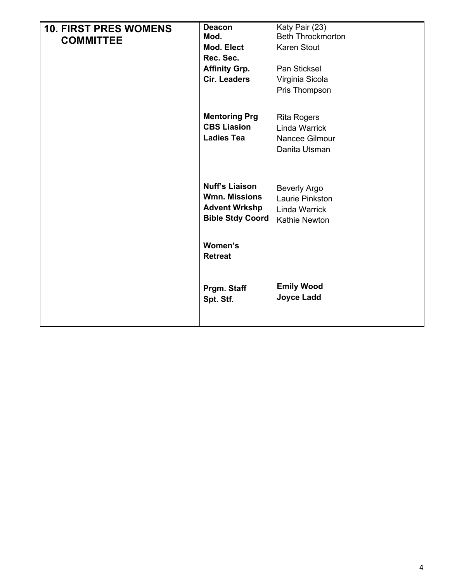| <b>10. FIRST PRES WOMENS</b><br><b>COMMITTEE</b> | <b>Deacon</b><br>Mod.<br>Mod. Elect<br>Rec. Sec.<br><b>Affinity Grp.</b><br><b>Cir. Leaders</b>  | Katy Pair (23)<br><b>Beth Throckmorton</b><br><b>Karen Stout</b><br>Pan Sticksel<br>Virginia Sicola<br>Pris Thompson |
|--------------------------------------------------|--------------------------------------------------------------------------------------------------|----------------------------------------------------------------------------------------------------------------------|
|                                                  | <b>Mentoring Prg</b><br><b>CBS Liasion</b><br><b>Ladies Tea</b>                                  | <b>Rita Rogers</b><br><b>Linda Warrick</b><br>Nancee Gilmour<br>Danita Utsman                                        |
|                                                  | <b>Nuff's Liaison</b><br><b>Wmn. Missions</b><br><b>Advent Wrkshp</b><br><b>Bible Stdy Coord</b> | <b>Beverly Argo</b><br>Laurie Pinkston<br><b>Linda Warrick</b><br>Kathie Newton                                      |
|                                                  | Women's<br><b>Retreat</b>                                                                        |                                                                                                                      |
|                                                  | Prgm. Staff<br>Spt. Stf.                                                                         | <b>Emily Wood</b><br><b>Joyce Ladd</b>                                                                               |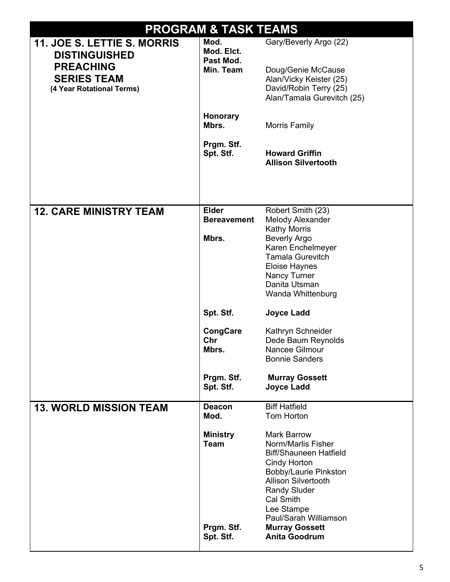| <b>PROGRAM &amp; TASK TEAMS</b>                                     |                                              |                                                                                                                                                                                                                                                      |  |
|---------------------------------------------------------------------|----------------------------------------------|------------------------------------------------------------------------------------------------------------------------------------------------------------------------------------------------------------------------------------------------------|--|
| 11. JOE S. LETTIE S. MORRIS<br><b>DISTINGUISHED</b>                 | Mod.<br>Mod. Elct.<br>Past Mod.              | Gary/Beverly Argo (22)                                                                                                                                                                                                                               |  |
| <b>PREACHING</b><br><b>SERIES TEAM</b><br>(4 Year Rotational Terms) | Min. Team                                    | Doug/Genie McCause<br>Alan/Vicky Keister (25)<br>David/Robin Terry (25)<br>Alan/Tamala Gurevitch (25)                                                                                                                                                |  |
|                                                                     | Honorary<br>Mbrs.                            | Morris Family                                                                                                                                                                                                                                        |  |
|                                                                     | Prgm. Stf.<br>Spt. Stf.                      | <b>Howard Griffin</b><br><b>Allison Silvertooth</b>                                                                                                                                                                                                  |  |
| <b>12. CARE MINISTRY TEAM</b>                                       | <b>Elder</b><br><b>Bereavement</b>           | Robert Smith (23)<br>Melody Alexander                                                                                                                                                                                                                |  |
|                                                                     | Mbrs.                                        | <b>Kathy Morris</b><br><b>Beverly Argo</b>                                                                                                                                                                                                           |  |
|                                                                     |                                              | Karen Enchelmeyer                                                                                                                                                                                                                                    |  |
|                                                                     |                                              | <b>Tamala Gurevitch</b>                                                                                                                                                                                                                              |  |
|                                                                     |                                              | <b>Eloise Haynes</b><br>Nancy Turner                                                                                                                                                                                                                 |  |
|                                                                     |                                              | Danita Utsman                                                                                                                                                                                                                                        |  |
|                                                                     |                                              | Wanda Whittenburg                                                                                                                                                                                                                                    |  |
|                                                                     | Spt. Stf.                                    | <b>Joyce Ladd</b>                                                                                                                                                                                                                                    |  |
|                                                                     | <b>CongCare</b>                              | Kathryn Schneider                                                                                                                                                                                                                                    |  |
|                                                                     | Chr<br>Mbrs.                                 | Dede Baum Reynolds<br>Nancee Gilmour                                                                                                                                                                                                                 |  |
|                                                                     |                                              | <b>Bonnie Sanders</b>                                                                                                                                                                                                                                |  |
|                                                                     | Prgm. Stf.<br>Spt. Stf.                      | <b>Murray Gossett</b><br><b>Joyce Ladd</b>                                                                                                                                                                                                           |  |
| <b>13. WORLD MISSION TEAM</b>                                       | <b>Deacon</b><br>Mod.                        | <b>Biff Hatfield</b><br>Tom Horton                                                                                                                                                                                                                   |  |
|                                                                     | <b>Ministry</b><br><b>Team</b><br>Prgm. Stf. | <b>Mark Barrow</b><br>Norm/Marlis Fisher<br><b>Biff/Shauneen Hatfield</b><br>Cindy Horton<br>Bobby/Laurie Pinkston<br><b>Allison Silvertooth</b><br><b>Randy Sluder</b><br>Cal Smith<br>Lee Stampe<br>Paul/Sarah Williamson<br><b>Murray Gossett</b> |  |
|                                                                     | Spt. Stf.                                    | <b>Anita Goodrum</b>                                                                                                                                                                                                                                 |  |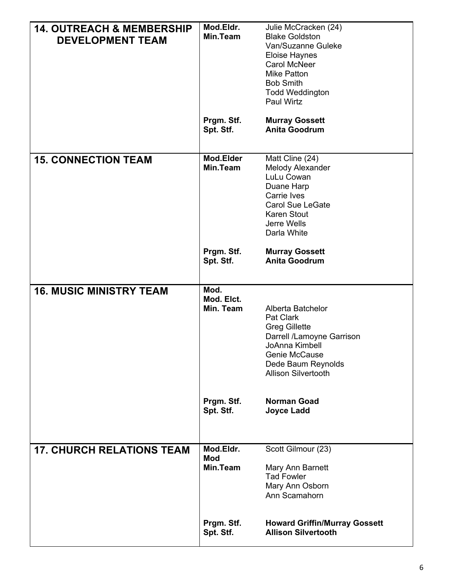| <b>14. OUTREACH &amp; MEMBERSHIP</b> | Mod.Eldr.               | Julie McCracken (24)                             |
|--------------------------------------|-------------------------|--------------------------------------------------|
| <b>DEVELOPMENT TEAM</b>              | Min.Team                | <b>Blake Goldston</b>                            |
|                                      |                         | Van/Suzanne Guleke                               |
|                                      |                         | Eloise Haynes<br>Carol McNeer                    |
|                                      |                         | <b>Mike Patton</b>                               |
|                                      |                         | <b>Bob Smith</b>                                 |
|                                      |                         | <b>Todd Weddington</b>                           |
|                                      |                         | <b>Paul Wirtz</b>                                |
|                                      | Prgm. Stf.              | <b>Murray Gossett</b>                            |
|                                      | Spt. Stf.               | <b>Anita Goodrum</b>                             |
|                                      |                         |                                                  |
|                                      |                         |                                                  |
| <b>15. CONNECTION TEAM</b>           | Mod.Elder<br>Min.Team   | Matt Cline (24)<br>Melody Alexander              |
|                                      |                         | LuLu Cowan                                       |
|                                      |                         | Duane Harp                                       |
|                                      |                         | Carrie Ives                                      |
|                                      |                         | <b>Carol Sue LeGate</b>                          |
|                                      |                         | <b>Karen Stout</b>                               |
|                                      |                         | Jerre Wells                                      |
|                                      |                         | Darla White                                      |
|                                      | Prgm. Stf.              | <b>Murray Gossett</b>                            |
|                                      | Spt. Stf.               | <b>Anita Goodrum</b>                             |
|                                      |                         |                                                  |
| <b>16. MUSIC MINISTRY TEAM</b>       | Mod.                    |                                                  |
|                                      |                         |                                                  |
|                                      |                         |                                                  |
|                                      | Mod. Elct.<br>Min. Team | Alberta Batchelor                                |
|                                      |                         | Pat Clark                                        |
|                                      |                         | <b>Greg Gillette</b>                             |
|                                      |                         | Darrell /Lamoyne Garrison                        |
|                                      |                         | JoAnna Kimbell                                   |
|                                      |                         | Genie McCause                                    |
|                                      |                         | Dede Baum Reynolds<br><b>Allison Silvertooth</b> |
|                                      |                         |                                                  |
|                                      |                         |                                                  |
|                                      | Prgm. Stf.<br>Spt. Stf. | <b>Norman Goad</b><br><b>Joyce Ladd</b>          |
|                                      |                         |                                                  |
|                                      |                         |                                                  |
| <b>17. CHURCH RELATIONS TEAM</b>     | Mod.Eldr.               | Scott Gilmour (23)                               |
|                                      | <b>Mod</b>              |                                                  |
|                                      | Min.Team                | Mary Ann Barnett                                 |
|                                      |                         | <b>Tad Fowler</b>                                |
|                                      |                         | Mary Ann Osborn<br>Ann Scamahorn                 |
|                                      |                         |                                                  |
|                                      | Prgm. Stf.              | <b>Howard Griffin/Murray Gossett</b>             |
|                                      | Spt. Stf.               | <b>Allison Silvertooth</b>                       |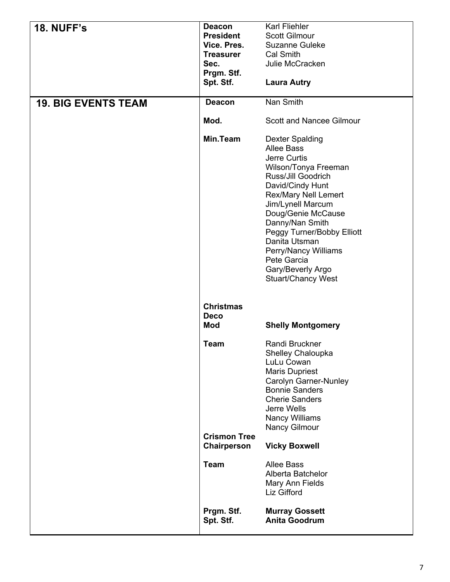| <b>18. NUFF's</b>          | <b>Deacon</b><br><b>President</b><br>Vice. Pres. | Karl Fliehler<br><b>Scott Gilmour</b><br>Suzanne Guleke                                                                                                                                                                                                                                                                                                            |
|----------------------------|--------------------------------------------------|--------------------------------------------------------------------------------------------------------------------------------------------------------------------------------------------------------------------------------------------------------------------------------------------------------------------------------------------------------------------|
|                            | <b>Treasurer</b><br>Sec.                         | Cal Smith<br>Julie McCracken                                                                                                                                                                                                                                                                                                                                       |
|                            | Prgm. Stf.<br>Spt. Stf.                          | <b>Laura Autry</b>                                                                                                                                                                                                                                                                                                                                                 |
| <b>19. BIG EVENTS TEAM</b> | <b>Deacon</b>                                    | Nan Smith                                                                                                                                                                                                                                                                                                                                                          |
|                            | Mod.                                             | <b>Scott and Nancee Gilmour</b>                                                                                                                                                                                                                                                                                                                                    |
|                            | <b>Min.Team</b>                                  | <b>Dexter Spalding</b><br><b>Allee Bass</b><br>Jerre Curtis<br>Wilson/Tonya Freeman<br>Russ/Jill Goodrich<br>David/Cindy Hunt<br><b>Rex/Mary Nell Lemert</b><br>Jim/Lynell Marcum<br>Doug/Genie McCause<br>Danny/Nan Smith<br>Peggy Turner/Bobby Elliott<br>Danita Utsman<br>Perry/Nancy Williams<br>Pete Garcia<br>Gary/Beverly Argo<br><b>Stuart/Chancy West</b> |
|                            | <b>Christmas</b><br><b>Deco</b><br><b>Mod</b>    | <b>Shelly Montgomery</b>                                                                                                                                                                                                                                                                                                                                           |
|                            | <b>Team</b>                                      | Randi Bruckner<br>Shelley Chaloupka<br>LuLu Cowan<br><b>Maris Dupriest</b><br><b>Carolyn Garner-Nunley</b><br><b>Bonnie Sanders</b><br><b>Cherie Sanders</b><br>Jerre Wells<br><b>Nancy Williams</b><br>Nancy Gilmour                                                                                                                                              |
|                            | <b>Crismon Tree</b><br>Chairperson               | <b>Vicky Boxwell</b>                                                                                                                                                                                                                                                                                                                                               |
|                            | <b>Team</b>                                      | <b>Allee Bass</b><br>Alberta Batchelor<br>Mary Ann Fields<br>Liz Gifford                                                                                                                                                                                                                                                                                           |
|                            | Prgm. Stf.<br>Spt. Stf.                          | <b>Murray Gossett</b><br><b>Anita Goodrum</b>                                                                                                                                                                                                                                                                                                                      |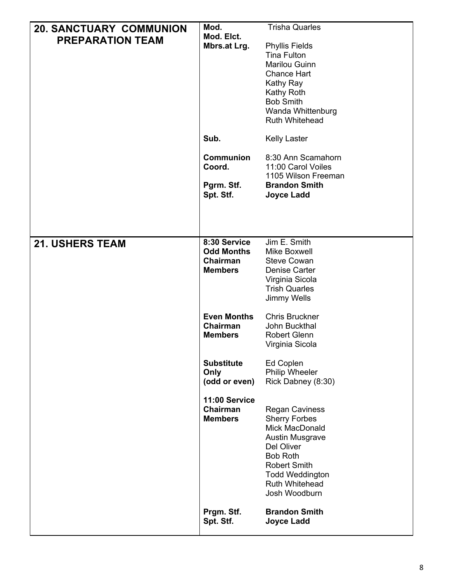| <b>20. SANCTUARY COMMUNION</b> | Mod.                              | <b>Trisha Quarles</b>                       |
|--------------------------------|-----------------------------------|---------------------------------------------|
| <b>PREPARATION TEAM</b>        | Mod. Elct.                        |                                             |
|                                | Mbrs.at Lrg.                      | <b>Phyllis Fields</b><br><b>Tina Fulton</b> |
|                                |                                   | Marilou Guinn                               |
|                                |                                   | <b>Chance Hart</b>                          |
|                                |                                   | Kathy Ray                                   |
|                                |                                   | Kathy Roth                                  |
|                                |                                   | <b>Bob Smith</b>                            |
|                                |                                   | Wanda Whittenburg<br><b>Ruth Whitehead</b>  |
|                                |                                   |                                             |
|                                | Sub.                              | <b>Kelly Laster</b>                         |
|                                | <b>Communion</b><br>Coord.        | 8:30 Ann Scamahorn<br>11:00 Carol Voiles    |
|                                |                                   | 1105 Wilson Freeman                         |
|                                | Pgrm. Stf.<br>Spt. Stf.           | <b>Brandon Smith</b><br><b>Joyce Ladd</b>   |
|                                |                                   |                                             |
|                                |                                   |                                             |
|                                |                                   |                                             |
| <b>21. USHERS TEAM</b>         | 8:30 Service<br><b>Odd Months</b> | Jim E. Smith<br>Mike Boxwell                |
|                                | Chairman                          | <b>Steve Cowan</b>                          |
|                                | <b>Members</b>                    | Denise Carter                               |
|                                |                                   | Virginia Sicola                             |
|                                |                                   | <b>Trish Quarles</b>                        |
|                                |                                   | Jimmy Wells                                 |
|                                | <b>Even Months</b>                | <b>Chris Bruckner</b>                       |
|                                | Chairman                          | John Buckthal                               |
|                                | <b>Members</b>                    | <b>Robert Glenn</b><br>Virginia Sicola      |
|                                |                                   |                                             |
|                                | <b>Substitute</b><br>Only         | Ed Coplen<br><b>Philip Wheeler</b>          |
|                                | (odd or even)                     | Rick Dabney (8:30)                          |
|                                |                                   |                                             |
|                                | 11:00 Service<br>Chairman         | <b>Regan Caviness</b>                       |
|                                | <b>Members</b>                    | <b>Sherry Forbes</b>                        |
|                                |                                   | Mick MacDonald                              |
|                                |                                   | <b>Austin Musgrave</b>                      |
|                                |                                   | Del Oliver<br><b>Bob Roth</b>               |
|                                |                                   | <b>Robert Smith</b>                         |
|                                |                                   | <b>Todd Weddington</b>                      |
|                                |                                   | <b>Ruth Whitehead</b>                       |
|                                |                                   | Josh Woodburn                               |
|                                | Prgm. Stf.                        | <b>Brandon Smith</b>                        |
|                                | Spt. Stf.                         | <b>Joyce Ladd</b>                           |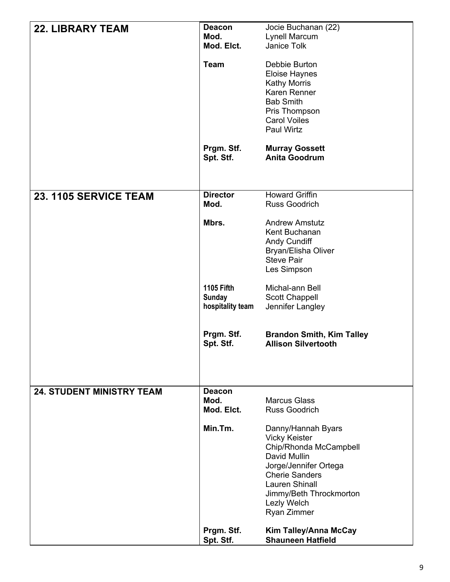| <b>22. LIBRARY TEAM</b>          | <b>Deacon</b><br>Mod.<br>Mod. Elct.                    | Jocie Buchanan (22)<br>Lynell Marcum<br>Janice Tolk                                                                                                                                                                      |
|----------------------------------|--------------------------------------------------------|--------------------------------------------------------------------------------------------------------------------------------------------------------------------------------------------------------------------------|
|                                  | <b>Team</b>                                            | Debbie Burton<br>Eloise Haynes<br><b>Kathy Morris</b><br>Karen Renner<br><b>Bab Smith</b><br>Pris Thompson<br><b>Carol Voiles</b><br>Paul Wirtz                                                                          |
|                                  | Prgm. Stf.<br>Spt. Stf.                                | <b>Murray Gossett</b><br><b>Anita Goodrum</b>                                                                                                                                                                            |
| 23. 1105 SERVICE TEAM            | <b>Director</b><br>Mod.                                | <b>Howard Griffin</b><br><b>Russ Goodrich</b>                                                                                                                                                                            |
|                                  | Mbrs.                                                  | <b>Andrew Amstutz</b><br>Kent Buchanan<br><b>Andy Cundiff</b><br>Bryan/Elisha Oliver<br><b>Steve Pair</b><br>Les Simpson                                                                                                 |
|                                  | <b>1105 Fifth</b><br><b>Sunday</b><br>hospitality team | Michal-ann Bell<br>Scott Chappell<br>Jennifer Langley                                                                                                                                                                    |
|                                  | Prgm. Stf.<br>Spt. Stf.                                | <b>Brandon Smith, Kim Talley</b><br><b>Allison Silvertooth</b>                                                                                                                                                           |
| <b>24. STUDENT MINISTRY TEAM</b> | <b>Deacon</b>                                          |                                                                                                                                                                                                                          |
|                                  | Mod.<br>Mod. Elct.                                     | <b>Marcus Glass</b><br><b>Russ Goodrich</b>                                                                                                                                                                              |
|                                  | Min.Tm.                                                | Danny/Hannah Byars<br><b>Vicky Keister</b><br>Chip/Rhonda McCampbell<br>David Mullin<br>Jorge/Jennifer Ortega<br><b>Cherie Sanders</b><br><b>Lauren Shinall</b><br>Jimmy/Beth Throckmorton<br>Lezly Welch<br>Ryan Zimmer |
|                                  | Prgm. Stf.<br>Spt. Stf.                                | Kim Talley/Anna McCay<br><b>Shauneen Hatfield</b>                                                                                                                                                                        |